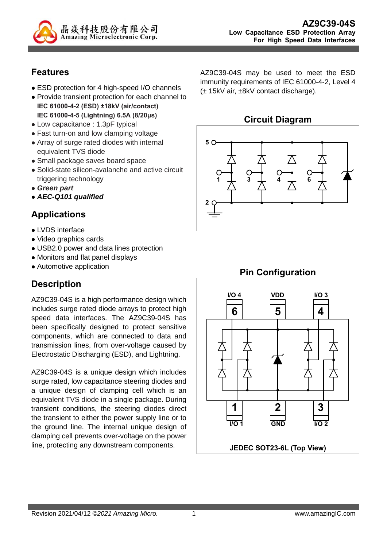

## **Features**

- ESD protection for 4 high-speed I/O channels
- Provide transient protection for each channel to **IEC 61000-4-2 (ESD) ±18kV (air/contact) IEC 61000-4-5 (Lightning) 6.5A (8/20μs)**
- Low capacitance : 1.3pF typical
- Fast turn-on and low clamping voltage
- Array of surge rated diodes with internal equivalent TVS diode
- Small package saves board space
- Solid-state silicon-avalanche and active circuit triggering technology
- *Green part*
- *AEC-Q101 qualified*

## **Applications**

- LVDS interface
- Video graphics cards
- USB2.0 power and data lines protection
- Monitors and flat panel displays
- Automotive application

# **Description**

AZ9C39-04S is a high performance design which includes surge rated diode arrays to protect high speed data interfaces. The AZ9C39-04S has been specifically designed to protect sensitive components, which are connected to data and transmission lines, from over-voltage caused by Electrostatic Discharging (ESD), and Lightning.

AZ9C39-04S is a unique design which includes surge rated, low capacitance steering diodes and a unique design of clamping cell which is an equivalent TVS diode in a single package. During transient conditions, the steering diodes direct the transient to either the power supply line or to the ground line. The internal unique design of clamping cell prevents over-voltage on the power line, protecting any downstream components.

AZ9C39-04S may be used to meet the ESD immunity requirements of IEC 61000-4-2, Level 4  $(\pm 15kV \text{ air}, \pm 8kV \text{ contact discharge}).$ 

#### **Circuit Diagram**



# **Pin Configuration**

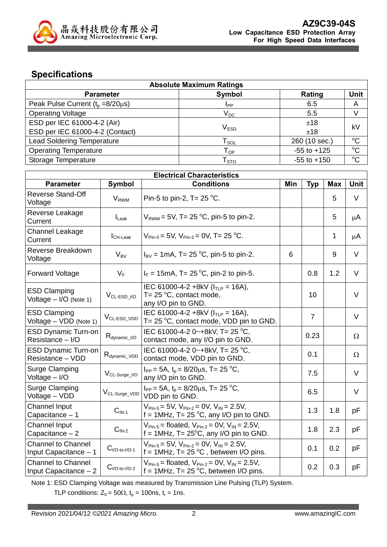

## **Specifications**

| <b>Absolute Maximum Ratings</b>         |                             |                 |              |  |
|-----------------------------------------|-----------------------------|-----------------|--------------|--|
| <b>Parameter</b>                        | Symbol                      | Rating          | <b>Unit</b>  |  |
| Peak Pulse Current $(t_0 = 8/20 \mu s)$ | I <sub>PP</sub>             | 6.5             | A            |  |
| <b>Operating Voltage</b>                | $V_{DC}$                    | 5.5             |              |  |
| ESD per IEC 61000-4-2 (Air)             |                             | ±18             |              |  |
| ESD per IEC 61000-4-2 (Contact)         | V <sub>ESD</sub>            | ±18             | kV           |  |
| <b>Lead Soldering Temperature</b>       | $\mathsf{T}_{\mathsf{SOL}}$ | 260 (10 sec.)   | $^{\circ}$ C |  |
| <b>Operating Temperature</b>            | ${\mathsf T}_{\textsf{OP}}$ | $-55$ to $+125$ | $^{\circ}$   |  |
| Storage Temperature                     | $\mathsf{T}_{\text{STO}}$   | $-55$ to $+150$ | $^{\circ}$   |  |

| <b>Electrical Characteristics</b>                  |                             |                                                                                                                                  |     |                |              |             |
|----------------------------------------------------|-----------------------------|----------------------------------------------------------------------------------------------------------------------------------|-----|----------------|--------------|-------------|
| <b>Parameter</b>                                   | <b>Symbol</b>               | <b>Conditions</b>                                                                                                                | Min | <b>Typ</b>     | <b>Max</b>   | <b>Unit</b> |
| <b>Reverse Stand-Off</b><br>Voltage                | <b>V<sub>RWM</sub></b>      | Pin-5 to pin-2, T= $25^{\circ}$ C.                                                                                               |     |                | 5            | V           |
| Reverse Leakage<br>Current                         | $I_{\text{L}eak}$           | $V_{RWM}$ = 5V, T= 25 °C, pin-5 to pin-2.                                                                                        |     |                | 5            | μA          |
| Channel Leakage<br>Current                         | $I_{CH\text{-}\text{Leak}}$ | $V_{\text{Pin-5}}$ = 5V, $V_{\text{Pin-2}}$ = 0V, T = 25 °C.                                                                     |     |                | $\mathbf{1}$ | μA          |
| Reverse Breakdown<br>Voltage                       | $V_{BV}$                    | $I_{BV}$ = 1mA, T= 25 °C, pin-5 to pin-2.                                                                                        | 6   |                | 9            | V           |
| <b>Forward Voltage</b>                             | $V_F$                       | $I_F = 15 \text{mA}$ , T= 25 °C, pin-2 to pin-5.                                                                                 |     | 0.8            | 1.2          | $\vee$      |
| <b>ESD Clamping</b><br>Voltage $-$ I/O (Note 1)    | $V_{CL-ESD_{I}/O}$          | IEC 61000-4-2 +8kV ( $I_{TLP}$ = 16A),<br>T= 25 $\degree$ C, contact mode,<br>any I/O pin to GND.                                |     | 10             |              | V           |
| <b>ESD Clamping</b><br>Voltage - VDD (Note 1)      | V <sub>CL-ESD_VDD</sub>     | IEC 61000-4-2 +8kV ( $ITIP = 16A$ ),<br>T= 25 $\mathrm{^{\circ}C}$ , contact mode, VDD pin to GND.                               |     | $\overline{7}$ |              | V           |
| <b>ESD Dynamic Turn-on</b><br>Resistance - I/O     | $R_{\text{dynamic\_I/O}}$   | IEC 61000-4-2 0~+8kV, T= 25 °C,<br>contact mode, any I/O pin to GND.                                                             |     | 0.23           |              | $\Omega$    |
| <b>ESD Dynamic Turn-on</b><br>Resistance - VDD     | $R_{dynamic\_VDD}$          | IEC 61000-4-2 0~+8kV, T= 25 °C,<br>contact mode, VDD pin to GND.                                                                 |     | 0.1            |              | $\Omega$    |
| Surge Clamping<br>Voltage $-$ I/O                  | $V_{CL-Surge\_I/O}$         | $I_{PP}$ = 5A, t <sub>p</sub> = 8/20 $\mu$ s, T = 25 °C,<br>any I/O pin to GND.                                                  |     | 7.5            |              | V           |
| Surge Clamping<br>Voltage - VDD                    | V <sub>CL-Surge_VDD</sub>   | $I_{PP}$ = 5A, $t_p$ = 8/20 $\mu$ s, T = 25 °C,<br>VDD pin to GND.                                                               |     | 6.5            |              | V           |
| Channel Input<br>Capacitance - 1                   | $CIN-1$                     | $V_{\text{Pin-5}} = 5V$ , $V_{\text{Pin-2}} = 0V$ , $V_{\text{IN}} = 2.5V$ ,<br>$f = 1$ MHz, T= 25 °C, any I/O pin to GND.       |     | 1.3            | 1.8          | рF          |
| <b>Channel Input</b><br>Capacitance $-2$           | $CIN-2$                     | $V_{Pin-5}$ = floated, $V_{Pin-2}$ = 0V, $V_{IN}$ = 2.5V,<br>$f = 1MHz$ , T= 25°C, any I/O pin to GND.                           |     | 1.8            | 2.3          | pF          |
| <b>Channel to Channel</b><br>Input Capacitance - 1 | $C_{I/O-to-I/O-1}$          | $V_{\text{Pin-5}}$ = 5V, $V_{\text{Pin-2}}$ = 0V, $V_{\text{IN}}$ = 2.5V,<br>$f = 1MHz$ , T= 25 °C, between I/O pins.            |     | 0.1            | 0.2          | pF          |
| <b>Channel to Channel</b><br>Input Capacitance - 2 | $C_{I/O-to-I/O-2}$          | $V_{\text{Pin-5}}$ = floated, $V_{\text{Pin-2}}$ = 0V, $V_{\text{IN}}$ = 2.5V,<br>f = 1MHz, T= $25^{\circ}$ C, between I/O pins. |     | 0.2            | 0.3          | рF          |

Note 1: ESD Clamping Voltage was measured by Transmission Line Pulsing (TLP) System.

TLP conditions:  $Z_0 = 50\Omega$ ,  $t_p = 100$ ns,  $t_r = 1$ ns.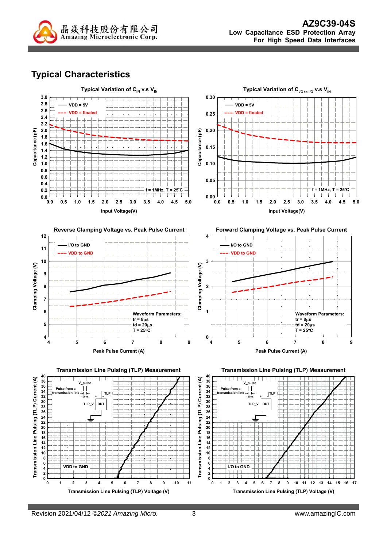

# **Typical Characteristics**

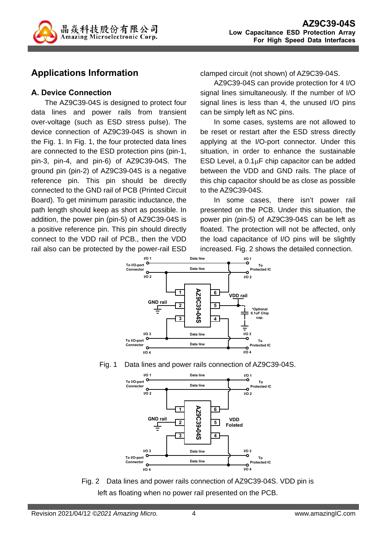

## **Applications Information**

#### **A. Device Connection**

The AZ9C39-04S is designed to protect four data lines and power rails from transient over-voltage (such as ESD stress pulse). The device connection of AZ9C39-04S is shown in the Fig. 1. In Fig. 1, the four protected data lines are connected to the ESD protection pins (pin-1, pin-3, pin-4, and pin-6) of AZ9C39-04S. The ground pin (pin-2) of AZ9C39-04S is a negative reference pin. This pin should be directly connected to the GND rail of PCB (Printed Circuit Board). To get minimum parasitic inductance, the path length should keep as short as possible. In addition, the power pin (pin-5) of AZ9C39-04S is a positive reference pin. This pin should directly connect to the VDD rail of PCB., then the VDD rail also can be protected by the power-rail ESD

clamped circuit (not shown) of AZ9C39-04S.

AZ9C39-04S can provide protection for 4 I/O signal lines simultaneously. If the number of I/O signal lines is less than 4, the unused I/O pins can be simply left as NC pins.

In some cases, systems are not allowed to be reset or restart after the ESD stress directly applying at the I/O-port connector. Under this situation, in order to enhance the sustainable ESD Level, a  $0.1\mu$ F chip capacitor can be added between the VDD and GND rails. The place of this chip capacitor should be as close as possible to the AZ9C39-04S.

In some cases, there isn't power rail presented on the PCB. Under this situation, the power pin (pin-5) of AZ9C39-04S can be left as floated. The protection will not be affected, only the load capacitance of I/O pins will be slightly increased. Fig. 2 shows the detailed connection.







Fig. 2 Data lines and power rails connection of AZ9C39-04S. VDD pin is left as floating when no power rail presented on the PCB.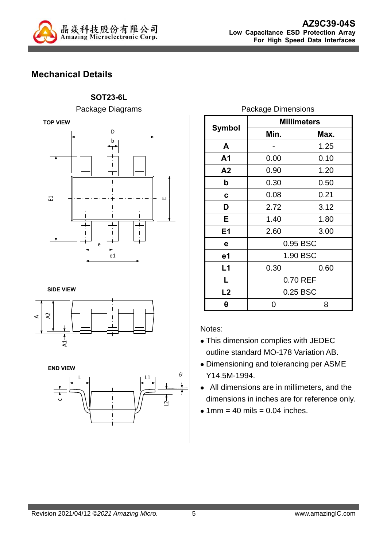

# **Mechanical Details**

**SOT23-6L**  Package Diagrams



|                | <b>Millimeters</b> |      |  |  |
|----------------|--------------------|------|--|--|
| Symbol         | Min.               | Max. |  |  |
| A              |                    | 1.25 |  |  |
| A <sub>1</sub> | 0.00               | 0.10 |  |  |
| A <sub>2</sub> | 0.90               | 1.20 |  |  |
| b              | 0.30               | 0.50 |  |  |
| C              | 0.08               | 0.21 |  |  |
| D              | 2.72               | 3.12 |  |  |
| Е              | 1.40               | 1.80 |  |  |
| E1             | 2.60               | 3.00 |  |  |
| е              | 0.95 BSC           |      |  |  |
| e1             | 1.90 BSC           |      |  |  |
| L1             | 0.30<br>0.60       |      |  |  |
| L              | 0.70 REF           |      |  |  |
| L2             | 0.25 BSC           |      |  |  |
| θ              | 8                  |      |  |  |

Package Dimensions

Notes:

- This dimension complies with JEDEC outline standard MO-178 Variation AB.
- Dimensioning and tolerancing per ASME Y14.5M-1994.
- All dimensions are in millimeters, and the dimensions in inches are for reference only.
- $\bullet$  1mm = 40 mils = 0.04 inches.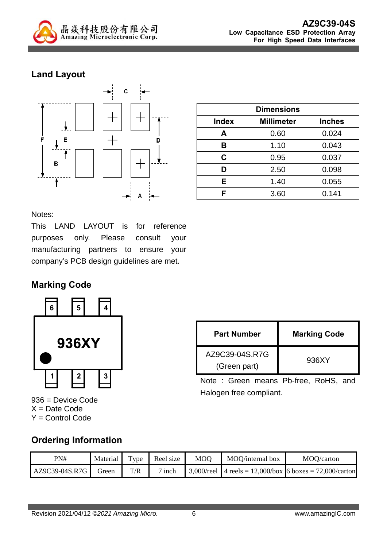

# **Land Layout**



| <b>Dimensions</b> |                   |               |  |
|-------------------|-------------------|---------------|--|
| <b>Index</b>      | <b>Millimeter</b> | <b>Inches</b> |  |
| Α                 | 0.60              | 0.024         |  |
| В                 | 1.10              | 0.043         |  |
| C.                | 0.95              | 0.037         |  |
| D                 | 2.50              | 0.098         |  |
| Е                 | 1.40              | 0.055         |  |
| F                 | 3.60              | 0.141         |  |

Notes:

This LAND LAYOUT is for reference purposes only. Please consult your manufacturing partners to ensure your company's PCB design guidelines are met.

#### **Marking Code**



936 = Device Code  $X = Date Code$ Y = Control Code

| <b>Part Number</b>             | <b>Marking Code</b> |
|--------------------------------|---------------------|
| AZ9C39-04S.R7G<br>(Green part) | 936XY               |

Note : Green means Pb-free, RoHS, and Halogen free compliant.

#### **Ordering Information**

| PN#            | Material |     | Type Reel size | MOO | MOQ/internal box | MOQ/carton                                                  |
|----------------|----------|-----|----------------|-----|------------------|-------------------------------------------------------------|
| AZ9C39-04S.R7G | Green    | T/R | $\sigma$ inch  |     |                  | 3.000/reel   4 reels = 12,000/box   6 boxes = 72,000/carton |